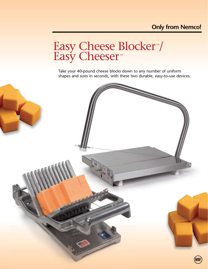## **Only from Nemco!**

Easy Cheese Blocker<sup>™</sup>/ Easy Cheeser<sup>™</sup>

Take your 40-pound cheese blocks down to any number of uniform shapes and sizes in seconds, with these two durable, easy-to-use devices.